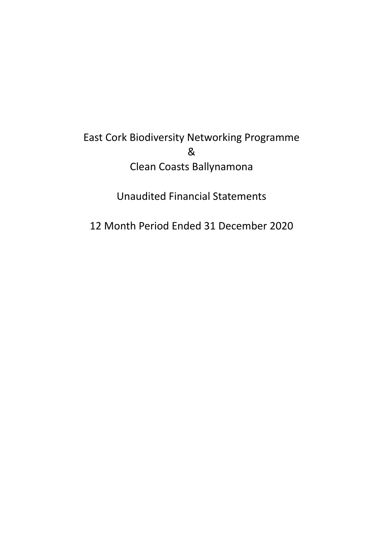# East Cork Biodiversity Networking Programme & Clean Coasts Ballynamona

Unaudited Financial Statements

12 Month Period Ended 31 December 2020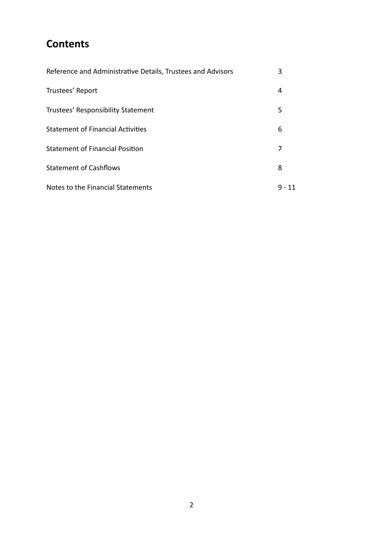# **Contents**

| Reference and Administrative Details, Trustees and Advisors | 3  |
|-------------------------------------------------------------|----|
| Trustees' Report                                            | 4  |
| Trustees' Responsibility Statement                          | 5  |
| <b>Statement of Financial Activities</b>                    | 6  |
| <b>Statement of Financial Position</b>                      | 7  |
| <b>Statement of Cashflows</b>                               | 8  |
| Notes to the Financial Statements                           | 11 |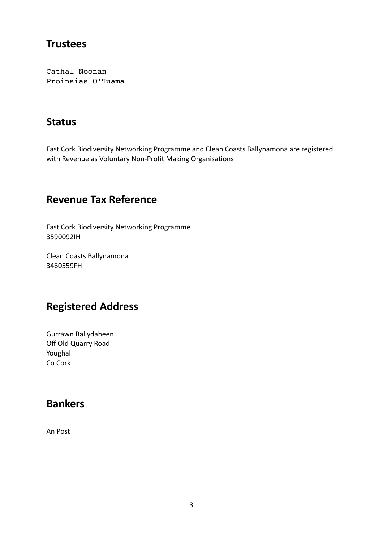### **Trustees**

Cathal Noonan Proinsias O'Tuama

## **Status**

East Cork Biodiversity Networking Programme and Clean Coasts Ballynamona are registered with Revenue as Voluntary Non-Profit Making Organisations

## **Revenue Tax Reference**

East Cork Biodiversity Networking Programme 3590092IH

Clean Coasts Ballynamona 3460559FH

### **Registered Address**

Gurrawn Ballydaheen Off Old Quarry Road Youghal Co Cork

### **Bankers**

An Post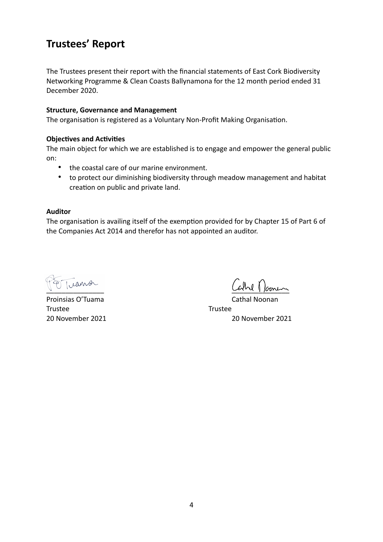## **Trustees' Report**

The Trustees present their report with the financial statements of East Cork Biodiversity Networking Programme & Clean Coasts Ballynamona for the 12 month period ended 31 December 2020.

#### **Structure, Governance and Management**

The organisation is registered as a Voluntary Non-Profit Making Organisation.

#### **Objectives and Activities**

The main object for which we are established is to engage and empower the general public on:

- the coastal care of our marine environment.
- to protect our diminishing biodiversity through meadow management and habitat creation on public and private land.

#### **Auditor**

The organisation is availing itself of the exemption provided for by Chapter 15 of Part 6 of the Companies Act 2014 and therefor has not appointed an auditor.

Proinsias O'Tuama Trustee **Trustee** 

<u>Carril Jomes</u>

20 November 2021 20 November 2021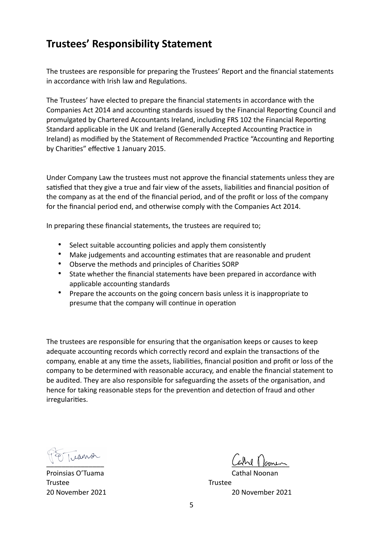## **Trustees' Responsibility Statement**

The trustees are responsible for preparing the Trustees' Report and the financial statements in accordance with Irish law and Regulations.

The Trustees' have elected to prepare the financial statements in accordance with the Companies Act 2014 and accounting standards issued by the Financial Reporting Council and promulgated by Chartered Accountants Ireland, including FRS 102 the Financial Reporting Standard applicable in the UK and Ireland (Generally Accepted Accounting Practice in Ireland) as modified by the Statement of Recommended Practice "Accounting and Reporting by Charities" effective 1 January 2015.

Under Company Law the trustees must not approve the financial statements unless they are satisfied that they give a true and fair view of the assets, liabilities and financial position of the company as at the end of the financial period, and of the profit or loss of the company for the financial period end, and otherwise comply with the Companies Act 2014.

In preparing these financial statements, the trustees are required to;

- Select suitable accounting policies and apply them consistently
- Make judgements and accounting estimates that are reasonable and prudent
- Observe the methods and principles of Charities SORP
- State whether the financial statements have been prepared in accordance with applicable accounting standards
- Prepare the accounts on the going concern basis unless it is inappropriate to presume that the company will continue in operation

The trustees are responsible for ensuring that the organisation keeps or causes to keep adequate accounting records which correctly record and explain the transactions of the company, enable at any time the assets, liabilities, financial position and profit or loss of the company to be determined with reasonable accuracy, and enable the financial statement to be audited. They are also responsible for safeguarding the assets of the organisation, and hence for taking reasonable steps for the prevention and detection of fraud and other irregularities.

ranon

Proinsias O'Tuama Trustee Trustee

 $Cevld \parallel \text{form}$ 

20 November 2021 20 November 2021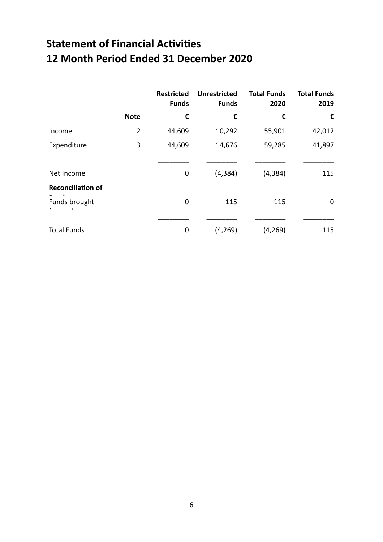# **Statement of Financial Activities 12 Month Period Ended 31 December 2020**

|                          |                | <b>Restricted</b><br><b>Funds</b> | <b>Unrestricted</b><br><b>Funds</b> | <b>Total Funds</b><br>2020 | <b>Total Funds</b><br>2019 |
|--------------------------|----------------|-----------------------------------|-------------------------------------|----------------------------|----------------------------|
|                          | <b>Note</b>    | €                                 | €                                   | €                          | €                          |
| Income                   | $\overline{2}$ | 44,609                            | 10,292                              | 55,901                     | 42,012                     |
| Expenditure              | 3              | 44,609                            | 14,676                              | 59,285                     | 41,897                     |
| Net Income               |                | 0                                 | (4, 384)                            | (4, 384)                   | 115                        |
| <b>Reconciliation of</b> |                |                                   |                                     |                            |                            |
| Funds brought            |                | 0                                 | 115                                 | 115                        | $\mathbf 0$                |
|                          |                |                                   |                                     |                            |                            |
| <b>Total Funds</b>       |                | 0                                 | (4, 269)                            | (4, 269)                   | 115                        |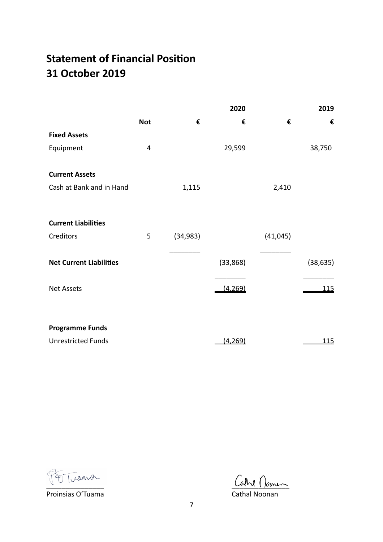# **Statement of Financial Position 31 October 2019**

|                                |            |           | 2020     |           | 2019        |
|--------------------------------|------------|-----------|----------|-----------|-------------|
|                                | <b>Not</b> | €         | €        | €         | €           |
| <b>Fixed Assets</b>            |            |           |          |           |             |
| Equipment                      | 4          |           | 29,599   |           | 38,750      |
| <b>Current Assets</b>          |            |           |          |           |             |
| Cash at Bank and in Hand       |            | 1,115     |          | 2,410     |             |
| <b>Current Liabilities</b>     |            |           |          |           |             |
| Creditors                      | 5          | (34, 983) |          | (41, 045) |             |
| <b>Net Current Liabilities</b> |            |           | (33,868) |           | (38, 635)   |
| <b>Net Assets</b>              |            |           | (4, 269) |           | <u> 115</u> |
|                                |            |           |          |           |             |
| <b>Programme Funds</b>         |            |           |          |           |             |
| <b>Unrestricted Funds</b>      |            |           | (4, 269) |           | <u> 115</u> |

Proinsias O'Tuama Cathal Noonan

 $Cevld$  from  $Cevld$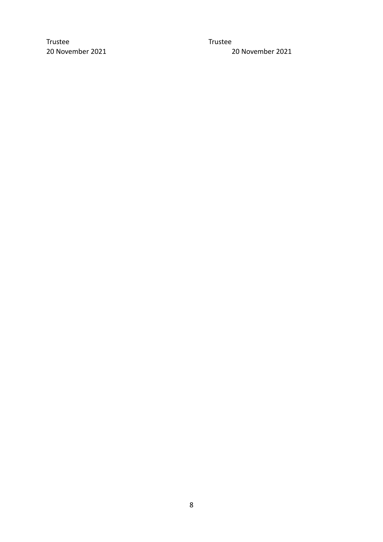Trustee Trustee

20 November 2021 20 November 2021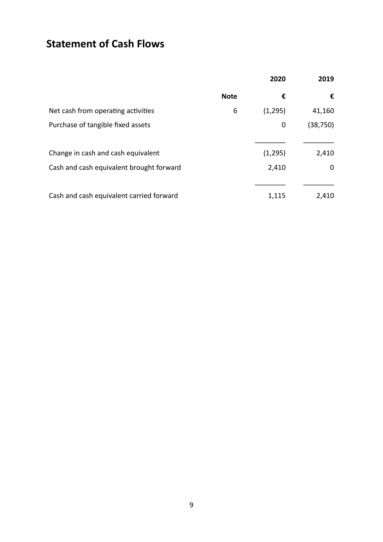# **Statement of Cash Flows**

|                                          |             | 2020    | 2019      |
|------------------------------------------|-------------|---------|-----------|
|                                          | <b>Note</b> | €       | €         |
| Net cash from operating activities       | 6           | (1,295) | 41,160    |
| Purchase of tangible fixed assets        |             | 0       | (38, 750) |
| Change in cash and cash equivalent       |             | (1,295) | 2,410     |
| Cash and cash equivalent brought forward |             | 2,410   | 0         |
| Cash and cash equivalent carried forward |             | 1,115   | 2,410     |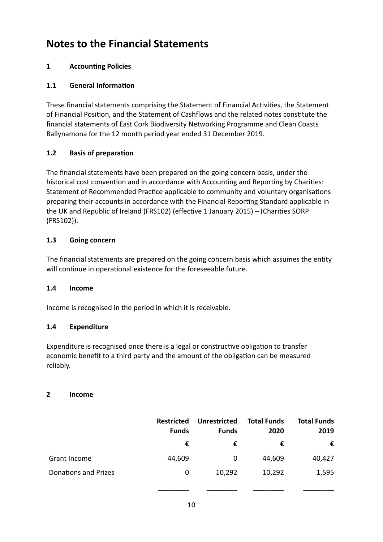# **Notes to the Financial Statements**

### **1** Accounting Policies

### **1.1 General Information**

These financial statements comprising the Statement of Financial Activities, the Statement of Financial Position, and the Statement of Cashflows and the related notes constitute the financial statements of East Cork Biodiversity Networking Programme and Clean Coasts Ballynamona for the 12 month period year ended 31 December 2019.

#### **1.2 Basis of preparation**

The financial statements have been prepared on the going concern basis, under the historical cost convention and in accordance with Accounting and Reporting by Charities: Statement of Recommended Practice applicable to community and voluntary organisations preparing their accounts in accordance with the Financial Reporting Standard applicable in the UK and Republic of Ireland (FRS102) (effective 1 January 2015) – (Charities SORP (FRS102)).

### **1.3 Going concern**

The financial statements are prepared on the going concern basis which assumes the entity will continue in operational existence for the foreseeable future.

#### **1.4 Income**

Income is recognised in the period in which it is receivable.

#### **1.4 Expenditure**

Expenditure is recognised once there is a legal or constructive obligation to transfer economic benefit to a third party and the amount of the obligation can be measured reliably.

#### **2 Income**

|                             | <b>Restricted</b><br><b>Funds</b> | Unrestricted<br><b>Funds</b> | <b>Total Funds</b><br>2020 | <b>Total Funds</b><br>2019 |
|-----------------------------|-----------------------------------|------------------------------|----------------------------|----------------------------|
|                             | €                                 | €                            | €                          | €                          |
| Grant Income                | 44,609                            | 0                            | 44,609                     | 40,427                     |
| <b>Donations and Prizes</b> | 0                                 | 10,292                       | 10,292                     | 1,595                      |

\_\_\_\_\_\_\_\_ \_\_\_\_\_\_\_\_ \_\_\_\_\_\_\_\_ \_\_\_\_\_\_\_\_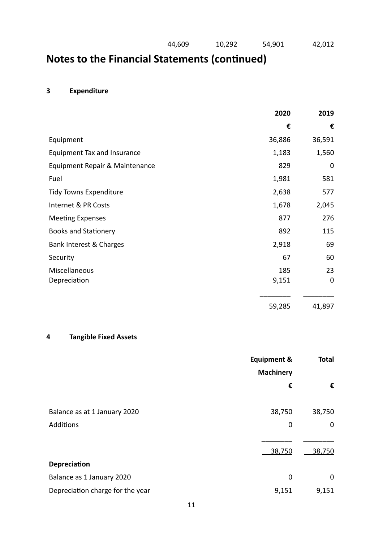# **Notes to the Financial Statements (continued)**

### **3 Expenditure**

|                                | 2020   | 2019        |
|--------------------------------|--------|-------------|
|                                | €      | €           |
| Equipment                      | 36,886 | 36,591      |
| Equipment Tax and Insurance    | 1,183  | 1,560       |
| Equipment Repair & Maintenance | 829    | 0           |
| Fuel                           | 1,981  | 581         |
| <b>Tidy Towns Expenditure</b>  | 2,638  | 577         |
| Internet & PR Costs            | 1,678  | 2,045       |
| <b>Meeting Expenses</b>        | 877    | 276         |
| <b>Books and Stationery</b>    | 892    | 115         |
| Bank Interest & Charges        | 2,918  | 69          |
| Security                       | 67     | 60          |
| Miscellaneous                  | 185    | 23          |
| Depreciation                   | 9,151  | $\mathbf 0$ |
|                                | 59,285 | 41,897      |

### **4 Tangible Fixed Assets**

|                                  | <b>Equipment &amp;</b> | <b>Total</b> |
|----------------------------------|------------------------|--------------|
|                                  | <b>Machinery</b>       |              |
|                                  | €                      | €            |
| Balance as at 1 January 2020     | 38,750                 | 38,750       |
| Additions                        | 0                      | $\mathbf 0$  |
|                                  | 38,750                 | 38,750       |
| <b>Depreciation</b>              |                        |              |
| Balance as 1 January 2020        | 0                      | 0            |
| Depreciation charge for the year | 9,151                  | 9,151        |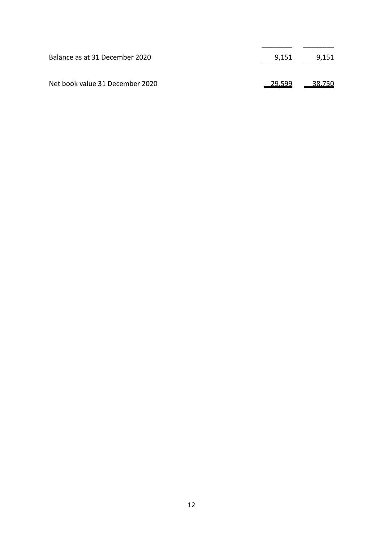| Balance as at 31 December 2020  | 9.151 | 9,151                               |
|---------------------------------|-------|-------------------------------------|
| Net book value 31 December 2020 |       | <u>__29,599</u> ___ <u>__38,750</u> |

\_\_\_\_\_\_\_\_ \_\_\_\_\_\_\_\_